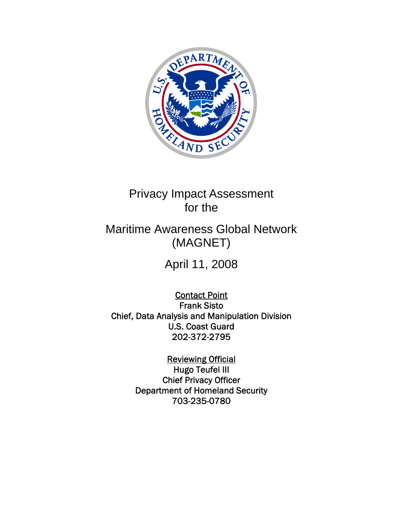

# Privacy Impact Assessment for the

# Maritime Awareness Global Network (MAGNET)

April 11, 2008

Contact Point Frank Sisto Chief, Data Analysis and Manipulation Division U.S. Coast Guard 202-372-2795

> Reviewing Official Hugo Teufel III Chief Privacy Officer Department of Homeland Security 703-235-0780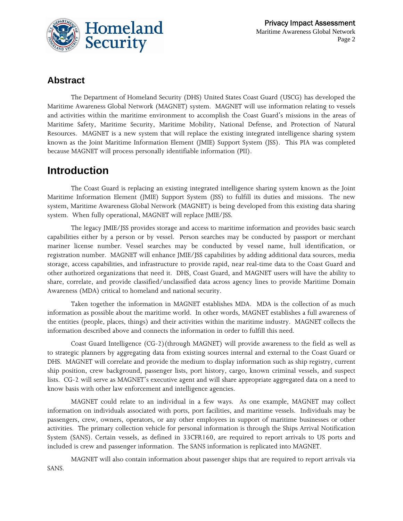

#### **Abstract**

The Department of Homeland Security (DHS) United States Coast Guard (USCG) has developed the Maritime Awareness Global Network (MAGNET) system. MAGNET will use information relating to vessels and activities within the maritime environment to accomplish the Coast Guard's missions in the areas of Maritime Safety, Maritime Security, Maritime Mobility, National Defense, and Protection of Natural Resources. MAGNET is a new system that will replace the existing integrated intelligence sharing system known as the Joint Maritime Information Element (JMIE) Support System (JSS). This PIA was completed because MAGNET will process personally identifiable information (PII).

# **Introduction**

The Coast Guard is replacing an existing integrated intelligence sharing system known as the Joint Maritime Information Element (JMIE) Support System (JSS) to fulfill its duties and missions. The new system, Maritime Awareness Global Network (MAGNET) is being developed from this existing data sharing system. When fully operational, MAGNET will replace JMIE/JSS.

The legacy JMIE/JSS provides storage and access to maritime information and provides basic search capabilities either by a person or by vessel. Person searches may be conducted by passport or merchant mariner license number. Vessel searches may be conducted by vessel name, hull identification, or registration number. MAGNET will enhance JMIE/JSS capabilities by adding additional data sources, media storage, access capabilities, and infrastructure to provide rapid, near real-time data to the Coast Guard and other authorized organizations that need it. DHS, Coast Guard, and MAGNET users will have the ability to share, correlate, and provide classified/unclassified data across agency lines to provide Maritime Domain Awareness (MDA) critical to homeland and national security.

Taken together the information in MAGNET establishes MDA. MDA is the collection of as much information as possible about the maritime world. In other words, MAGNET establishes a full awareness of the entities (people, places, things) and their activities within the maritime industry. MAGNET collects the information described above and connects the information in order to fulfill this need.

Coast Guard Intelligence (CG-2)(through MAGNET) will provide awareness to the field as well as to strategic planners by aggregating data from existing sources internal and external to the Coast Guard or DHS. MAGNET will correlate and provide the medium to display information such as ship registry, current ship position, crew background, passenger lists, port history, cargo, known criminal vessels, and suspect lists. CG-2 will serve as MAGNET's executive agent and will share appropriate aggregated data on a need to know basis with other law enforcement and intelligence agencies.

MAGNET could relate to an individual in a few ways. As one example, MAGNET may collect information on individuals associated with ports, port facilities, and maritime vessels. Individuals may be passengers, crew, owners, operators, or any other employees in support of maritime businesses or other activities. The primary collection vehicle for personal information is through the Ships Arrival Notification System (SANS). Certain vessels, as defined in 33CFR160, are required to report arrivals to US ports and included is crew and passenger information. The SANS information is replicated into MAGNET.

MAGNET will also contain information about passenger ships that are required to report arrivals via SANS.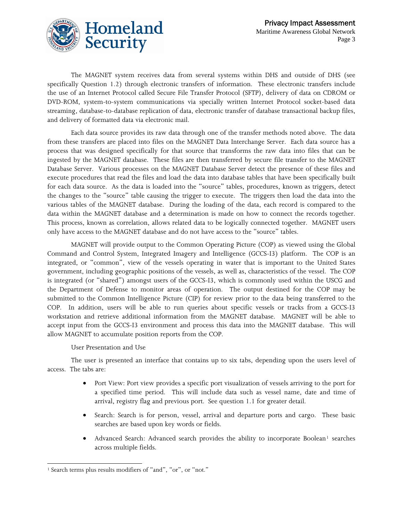

The MAGNET system receives data from several systems within DHS and outside of DHS (see specifically Question 1.2) through electronic transfers of information. These electronic transfers include the use of an Internet Protocol called Secure File Transfer Protocol (SFTP), delivery of data on CDROM or DVD-ROM, system-to-system communications via specially written Internet Protocol socket-based data streaming, database-to-database replication of data, electronic transfer of database transactional backup files, and delivery of formatted data via electronic mail.

Each data source provides its raw data through one of the transfer methods noted above. The data from these transfers are placed into files on the MAGNET Data Interchange Server. Each data source has a process that was designed specifically for that source that transforms the raw data into files that can be ingested by the MAGNET database. These files are then transferred by secure file transfer to the MAGNET Database Server. Various processes on the MAGNET Database Server detect the presence of these files and execute procedures that read the files and load the data into database tables that have been specifically built for each data source. As the data is loaded into the "source" tables, procedures, known as triggers, detect the changes to the "source" table causing the trigger to execute. The triggers then load the data into the various tables of the MAGNET database. During the loading of the data, each record is compared to the data within the MAGNET database and a determination is made on how to connect the records together. This process, known as correlation, allows related data to be logically connected together. MAGNET users only have access to the MAGNET database and do not have access to the "source" tables.

MAGNET will provide output to the Common Operating Picture (COP) as viewed using the Global Command and Control System, Integrated Imagery and Intelligence (GCCS-I3) platform. The COP is an integrated, or "common", view of the vessels operating in water that is important to the United States government, including geographic positions of the vessels, as well as, characteristics of the vessel. The COP is integrated (or "shared") amongst users of the GCCS-I3, which is commonly used within the USCG and the Department of Defense to monitor areas of operation. The output destined for the COP may be submitted to the Common Intelligence Picture (CIP) for review prior to the data being transferred to the COP. In addition, users will be able to run queries about specific vessels or tracks from a GCCS-I3 workstation and retrieve additional information from the MAGNET database. MAGNET will be able to accept input from the GCCS-I3 environment and process this data into the MAGNET database. This will allow MAGNET to accumulate position reports from the COP.

#### User Presentation and Use

The user is presented an interface that contains up to six tabs, depending upon the users level of access. The tabs are:

- Port View: Port view provides a specific port visualization of vessels arriving to the port for a specified time period. This will include data such as vessel name, date and time of arrival, registry flag and previous port. See question 1.1 for greater detail.
- Search: Search is for person, vessel, arrival and departure ports and cargo. These basic searches are based upon key words or fields.
- Advanced Search: Advanced search provides the ability to incorporate Boolean<sup>[1](#page-2-0)</sup> searches across multiple fields.

<span id="page-2-0"></span> $\overline{\phantom{a}}$ <sup>1</sup> Search terms plus results modifiers of "and", "or", or "not."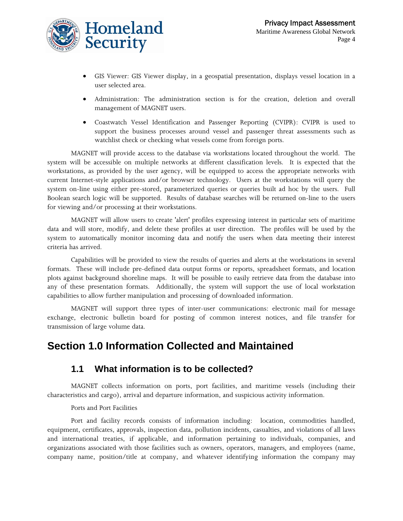

- GIS Viewer: GIS Viewer display, in a geospatial presentation, displays vessel location in a user selected area.
- Administration: The administration section is for the creation, deletion and overall management of MAGNET users.
- Coastwatch Vessel Identification and Passenger Reporting (CVIPR): CVIPR is used to support the business processes around vessel and passenger threat assessments such as watchlist check or checking what vessels come from foreign ports.

MAGNET will provide access to the database via workstations located throughout the world. The system will be accessible on multiple networks at different classification levels. It is expected that the workstations, as provided by the user agency, will be equipped to access the appropriate networks with current Internet-style applications and/or browser technology. Users at the workstations will query the system on-line using either pre-stored, parameterized queries or queries built ad hoc by the users. Full Boolean search logic will be supported. Results of database searches will be returned on-line to the users for viewing and/or processing at their workstations.

MAGNET will allow users to create 'alert' profiles expressing interest in particular sets of maritime data and will store, modify, and delete these profiles at user direction. The profiles will be used by the system to automatically monitor incoming data and notify the users when data meeting their interest criteria has arrived.

Capabilities will be provided to view the results of queries and alerts at the workstations in several formats. These will include pre-defined data output forms or reports, spreadsheet formats, and location plots against background shoreline maps. It will be possible to easily retrieve data from the database into any of these presentation formats. Additionally, the system will support the use of local workstation capabilities to allow further manipulation and processing of downloaded information.

MAGNET will support three types of inter-user communications: electronic mail for message exchange, electronic bulletin board for posting of common interest notices, and file transfer for transmission of large volume data.

## **Section 1.0 Information Collected and Maintained**

#### **1.1 What information is to be collected?**

MAGNET collects information on ports, port facilities, and maritime vessels (including their characteristics and cargo), arrival and departure information, and suspicious activity information.

#### Ports and Port Facilities

Port and facility records consists of information including: location, commodities handled, equipment, certificates, approvals, inspection data, pollution incidents, casualties, and violations of all laws and international treaties, if applicable, and information pertaining to individuals, companies, and organizations associated with those facilities such as owners, operators, managers, and employees (name, company name, position/title at company, and whatever identifying information the company may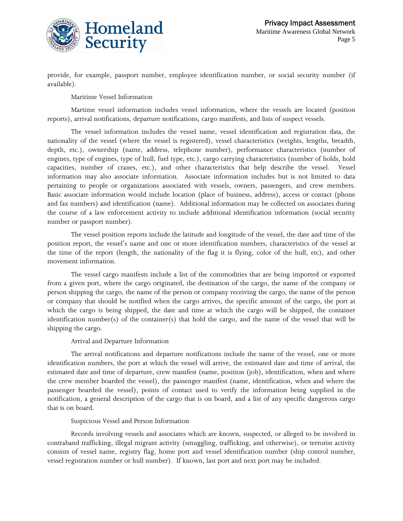

provide, for example, passport number, employee identification number, or social security number (if available).

Maritime Vessel Information

Martime vessel information includes vessel information, where the vessels are located (position reports), arrival notifications, departure notifications, cargo manifests, and lists of suspect vessels.

The vessel information includes the vessel name, vessel identification and registration data, the nationality of the vessel (where the vessel is registered), vessel characteristics (weights, lengths, breadth, depth, etc.), ownership (name, address, telephone number), performance characteristics (number of engines, type of engines, type of hull, fuel type, etc.), cargo carrying characteristics (number of holds, hold capacities, number of cranes, etc.), and other characteristics that help describe the vessel. Vessel information may also associate information. Associate information includes but is not limited to data pertaining to people or organizations associated with vessels, owners, passengers, and crew members. Basic associate information would include location (place of business, address), access or contact (phone and fax numbers) and identification (name). Additional information may be collected on associates during the course of a law enforcement activity to include additional identification information (social security number or passport number).

The vessel position reports include the latitude and longitude of the vessel, the date and time of the position report, the vessel's name and one or more identification numbers, characteristics of the vessel at the time of the report (length, the nationality of the flag it is flying, color of the hull, etc), and other movement information.

The vessel cargo manifests include a list of the commodities that are being imported or exported from a given port, where the cargo originated, the destination of the cargo, the name of the company or person shipping the cargo, the name of the person or company receiving the cargo, the name of the person or company that should be notified when the cargo arrives, the specific amount of the cargo, the port at which the cargo is being shipped, the date and time at which the cargo will be shipped, the container identification number(s) of the container(s) that hold the cargo, and the name of the vessel that will be shipping the cargo.

Arrival and Departure Information

The arrival notifications and departure notifications include the name of the vessel, one or more identification numbers, the port at which the vessel will arrive, the estimated date and time of arrival, the estimated date and time of departure, crew manifest (name, position (job), identification, when and where the crew member boarded the vessel), the passenger manifest (name, identification, when and where the passenger boarded the vessel), points of contact used to verify the information being supplied in the notification, a general description of the cargo that is on board, and a list of any specific dangerous cargo that is on board.

Suspicious Vessel and Person Information

Records involving vessels and associates which are known, suspected, or alleged to be involved in contraband trafficking, illegal migrant activity (smuggling, trafficking, and otherwise), or terrorist activity consists of vessel name, registry flag, home port and vessel identification number (ship control number, vessel registration number or hull number). If known, last port and next port may be included.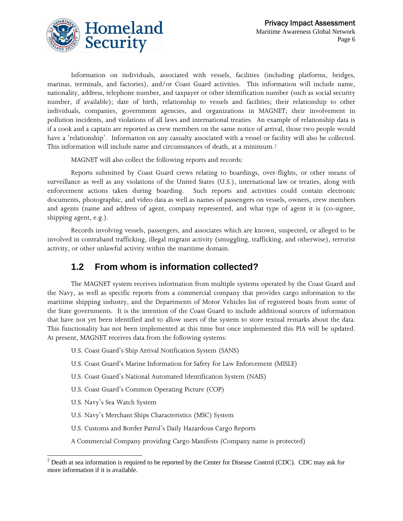

Information on individuals, associated with vessels, facilities (including platforms, bridges, marinas, terminals, and factories), and/or Coast Guard activities. This information will include name, nationality, address, telephone number, and taxpayer or other identification number (such as social security number, if available); date of birth, relationship to vessels and facilities; their relationship to other individuals, companies, government agencies, and organizations in MAGNET; their involvement in pollution incidents, and violations of all laws and international treaties. An example of relationship data is if a cook and a captain are reported as crew members on the same notice of arrival, those two people would have a 'relationship'. Information on any casualty associated with a vessel or facility will also be collected. This information will include name and circumstances of death, at a minimum.<sup>[2](#page-5-0)</sup>

MAGNET will also collect the following reports and records:

Reports submitted by Coast Guard crews relating to boardings, over-flights, or other means of surveillance as well as any violations of the United States (U.S.), international law or treaties, along with enforcement actions taken during boarding. Such reports and activities could contain electronic documents, photographic, and video data as well as names of passengers on vessels, owners, crew members and agents (name and address of agent, company represented, and what type of agent it is (co-signee, shipping agent, e.g.).

Records involving vessels, passengers, and associates which are known, suspected, or alleged to be involved in contraband trafficking, illegal migrant activity (smuggling, trafficking, and otherwise), terrorist activity, or other unlawful activity within the maritime domain.

## **1.2 From whom is information collected?**

The MAGNET system receives information from multiple systems operated by the Coast Guard and the Navy, as well as specific reports from a commercial company that provides cargo information to the maritime shipping industry, and the Departments of Motor Vehicles list of registered boats from some of the State governments. It is the intention of the Coast Guard to include additional sources of information that have not yet been identified and to allow users of the system to store textual remarks about the data. This functionality has not been implemented at this time but once implemented this PIA will be updated. At present, MAGNET receives data from the following systems:

U.S. Coast Guard's Ship Arrival Notification System (SANS)

U.S. Coast Guard's Marine Information for Safety for Law Enforcement (MISLE)

U.S. Coast Guard's National Automated Identification System (NAIS)

U.S. Coast Guard's Common Operating Picture (COP)

U.S. Navy's Sea Watch System

 $\overline{\phantom{a}}$ 

U.S. Navy's Merchant Ships Characteristics (MSC) System

U.S. Customs and Border Patrol's Daily Hazardous Cargo Reports

A Commercial Company providing Cargo Manifests (Company name is protected)

<span id="page-5-0"></span> $2^{2}$  Death at sea information is required to be reported by the Center for Disease Control (CDC). CDC may ask for more information if it is available.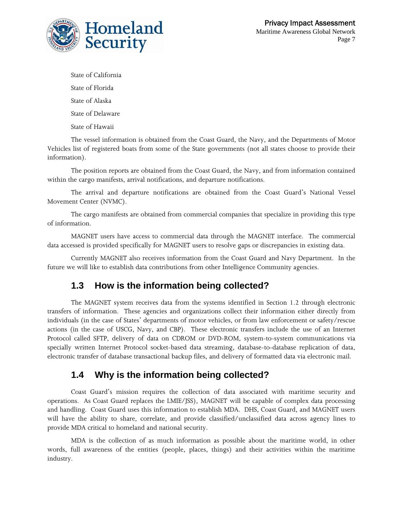

State of California State of Florida State of Alaska State of Delaware State of Hawaii

The vessel information is obtained from the Coast Guard, the Navy, and the Departments of Motor Vehicles list of registered boats from some of the State governments (not all states choose to provide their information).

The position reports are obtained from the Coast Guard, the Navy, and from information contained within the cargo manifests, arrival notifications, and departure notifications.

The arrival and departure notifications are obtained from the Coast Guard's National Vessel Movement Center (NVMC).

The cargo manifests are obtained from commercial companies that specialize in providing this type of information.

MAGNET users have access to commercial data through the MAGNET interface. The commercial data accessed is provided specifically for MAGNET users to resolve gaps or discrepancies in existing data.

Currently MAGNET also receives information from the Coast Guard and Navy Department. In the future we will like to establish data contributions from other Intelligence Community agencies.

## **1.3 How is the information being collected?**

The MAGNET system receives data from the systems identified in Section 1.2 through electronic transfers of information. These agencies and organizations collect their information either directly from individuals (in the case of States' departments of motor vehicles, or from law enforcement or safety/rescue actions (in the case of USCG, Navy, and CBP). These electronic transfers include the use of an Internet Protocol called SFTP, delivery of data on CDROM or DVD-ROM, system-to-system communications via specially written Internet Protocol socket-based data streaming, database-to-database replication of data, electronic transfer of database transactional backup files, and delivery of formatted data via electronic mail.

#### **1.4 Why is the information being collected?**

Coast Guard's mission requires the collection of data associated with maritime security and operations. As Coast Guard replaces the LMIE/JSS), MAGNET will be capable of complex data processing and handling. Coast Guard uses this information to establish MDA. DHS, Coast Guard, and MAGNET users will have the ability to share, correlate, and provide classified/unclassified data across agency lines to provide MDA critical to homeland and national security.

MDA is the collection of as much information as possible about the maritime world, in other words, full awareness of the entities (people, places, things) and their activities within the maritime industry.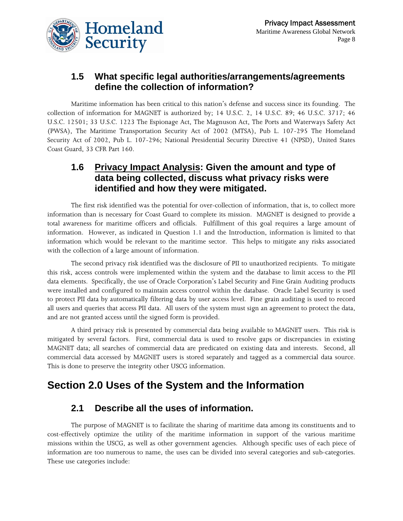

#### **1.5 What specific legal authorities/arrangements/agreements define the collection of information?**

Maritime information has been critical to this nation's defense and success since its founding. The collection of information for MAGNET is authorized by; 14 U.S.C. 2, 14 U.S.C. 89; 46 U.S.C. 3717; 46 U.S.C. 12501; 33 U.S.C. 1223 The Espionage Act, The Magnuson Act, The Ports and Waterways Safety Act (PWSA), The Maritime Transportation Security Act of 2002 (MTSA), Pub L. 107-295 The Homeland Security Act of 2002, Pub L. 107-296; National Presidential Security Directive 41 (NPSD), United States Coast Guard, 33 CFR Part 160.

#### **1.6 Privacy Impact Analysis: Given the amount and type of data being collected, discuss what privacy risks were identified and how they were mitigated.**

The first risk identified was the potential for over-collection of information, that is, to collect more information than is necessary for Coast Guard to complete its mission. MAGNET is designed to provide a total awareness for maritime officers and officials. Fulfillment of this goal requires a large amount of information. However, as indicated in Question 1.1 and the Introduction, information is limited to that information which would be relevant to the maritime sector. This helps to mitigate any risks associated with the collection of a large amount of information.

The second privacy risk identified was the disclosure of PII to unauthorized recipients. To mitigate this risk, access controls were implemented within the system and the database to limit access to the PII data elements. Specifically, the use of Oracle Corporation's Label Security and Fine Grain Auditing products were installed and configured to maintain access control within the database. Oracle Label Security is used to protect PII data by automatically filtering data by user access level. Fine grain auditing is used to record all users and queries that access PII data. All users of the system must sign an agreement to protect the data, and are not granted access until the signed form is provided.

A third privacy risk is presented by commercial data being available to MAGNET users. This risk is mitigated by several factors. First, commercial data is used to resolve gaps or discrepancies in existing MAGNET data; all searches of commercial data are predicated on existing data and interests. Second, all commercial data accessed by MAGNET users is stored separately and tagged as a commercial data source. This is done to preserve the integrity other USCG information.

## **Section 2.0 Uses of the System and the Information**

#### **2.1 Describe all the uses of information.**

The purpose of MAGNET is to facilitate the sharing of maritime data among its constituents and to cost-effectively optimize the utility of the maritime information in support of the various maritime missions within the USCG, as well as other government agencies. Although specific uses of each piece of information are too numerous to name, the uses can be divided into several categories and sub-categories. These use categories include: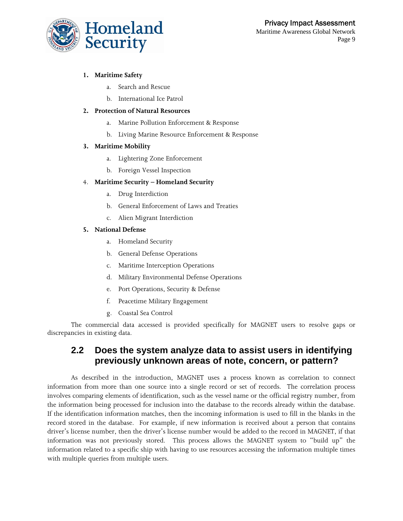#### **1. Maritime Safety**

- a. Search and Rescue
- b. International Ice Patrol

#### **2. Protection of Natural Resources**

- a. Marine Pollution Enforcement & Response
- b. Living Marine Resource Enforcement & Response

#### **3. Maritime Mobility**

- a. Lightering Zone Enforcement
- b. Foreign Vessel Inspection

#### 4. **Maritime Security – Homeland Security**

- a. Drug Interdiction
- b. General Enforcement of Laws and Treaties
- c. Alien Migrant Interdiction

#### **5. National Defense**

- a. Homeland Security
- b. General Defense Operations
- c. Maritime Interception Operations
- d. Military Environmental Defense Operations
- e. Port Operations, Security & Defense
- f. Peacetime Military Engagement
- g. Coastal Sea Control

The commercial data accessed is provided specifically for MAGNET users to resolve gaps or discrepancies in existing data.

#### **2.2 Does the system analyze data to assist users in identifying previously unknown areas of note, concern, or pattern?**

As described in the introduction, MAGNET uses a process known as correlation to connect information from more than one source into a single record or set of records. The correlation process involves comparing elements of identification, such as the vessel name or the official registry number, from the information being processed for inclusion into the database to the records already within the database. If the identification information matches, then the incoming information is used to fill in the blanks in the record stored in the database. For example, if new information is received about a person that contains driver's license number, then the driver's license number would be added to the record in MAGNET, if that information was not previously stored. This process allows the MAGNET system to "build up" the information related to a specific ship with having to use resources accessing the information multiple times with multiple queries from multiple users.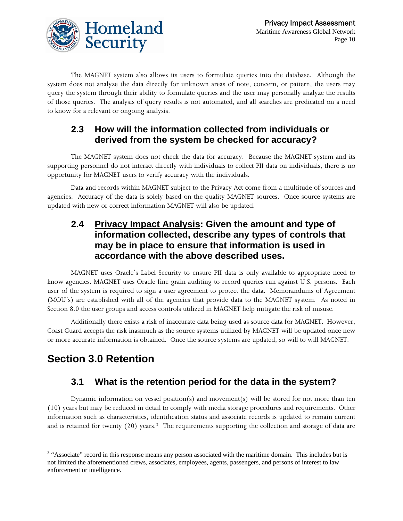

The MAGNET system also allows its users to formulate queries into the database. Although the system does not analyze the data directly for unknown areas of note, concern, or pattern, the users may query the system through their ability to formulate queries and the user may personally analyze the results of those queries. The analysis of query results is not automated, and all searches are predicated on a need to know for a relevant or ongoing analysis.

#### **2.3 How will the information collected from individuals or derived from the system be checked for accuracy?**

The MAGNET system does not check the data for accuracy. Because the MAGNET system and its supporting personnel do not interact directly with individuals to collect PII data on individuals, there is no opportunity for MAGNET users to verify accuracy with the individuals.

Data and records within MAGNET subject to the Privacy Act come from a multitude of sources and agencies. Accuracy of the data is solely based on the quality MAGNET sources. Once source systems are updated with new or correct information MAGNET will also be updated.

#### **2.4 Privacy Impact Analysis: Given the amount and type of information collected, describe any types of controls that may be in place to ensure that information is used in accordance with the above described uses.**

MAGNET uses Oracle's Label Security to ensure PII data is only available to appropriate need to know agencies. MAGNET uses Oracle fine grain auditing to record queries run against U.S. persons. Each user of the system is required to sign a user agreement to protect the data. Memorandums of Agreement (MOU's) are established with all of the agencies that provide data to the MAGNET system. As noted in Section 8.0 the user groups and access controls utilized in MAGNET help mitigate the risk of misuse.

Additionally there exists a risk of inaccurate data being used as source data for MAGNET. However, Coast Guard accepts the risk inasmuch as the source systems utilized by MAGNET will be updated once new or more accurate information is obtained. Once the source systems are updated, so will to will MAGNET.

# **Section 3.0 Retention**

## **3.1 What is the retention period for the data in the system?**

Dynamic information on vessel position(s) and movement(s) will be stored for not more than ten (10) years but may be reduced in detail to comply with media storage procedures and requirements. Other information such as characteristics, identification status and associate records is updated to remain current and is retained for twenty (20) years.<sup>[3](#page-9-0)</sup> The requirements supporting the collection and storage of data are

<span id="page-9-0"></span><sup>&</sup>lt;sup>3</sup> "Associate" record in this response means any person associated with the maritime domain. This includes but is not limited the aforementioned crews, associates, employees, agents, passengers, and persons of interest to law enforcement or intelligence.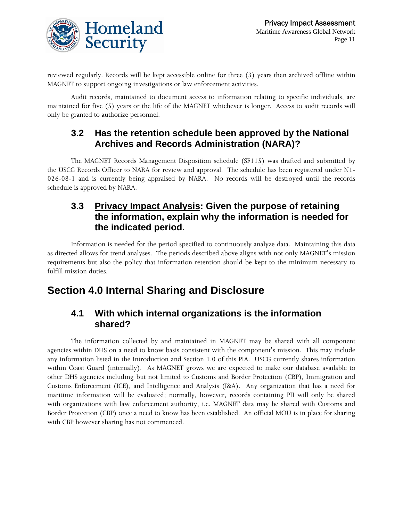

reviewed regularly. Records will be kept accessible online for three (3) years then archived offline within MAGNET to support ongoing investigations or law enforcement activities.

Audit records, maintained to document access to information relating to specific individuals, are maintained for five (5) years or the life of the MAGNET whichever is longer. Access to audit records will only be granted to authorize personnel.

#### **3.2 Has the retention schedule been approved by the National Archives and Records Administration (NARA)?**

The MAGNET Records Management Disposition schedule (SF115) was drafted and submitted by the USCG Records Officer to NARA for review and approval. The schedule has been registered under N1- 026-08-1 and is currently being appraised by NARA. No records will be destroyed until the records schedule is approved by NARA.

#### **3.3 Privacy Impact Analysis: Given the purpose of retaining the information, explain why the information is needed for the indicated period.**

Information is needed for the period specified to continuously analyze data. Maintaining this data as directed allows for trend analyses. The periods described above aligns with not only MAGNET's mission requirements but also the policy that information retention should be kept to the minimum necessary to fulfill mission duties.

# **Section 4.0 Internal Sharing and Disclosure**

#### **4.1 With which internal organizations is the information shared?**

 The information collected by and maintained in MAGNET may be shared with all component agencies within DHS on a need to know basis consistent with the component's mission. This may include any information listed in the Introduction and Section 1.0 of this PIA. USCG currently shares information within Coast Guard (internally). As MAGNET grows we are expected to make our database available to other DHS agencies including but not limited to Customs and Border Protection (CBP), Immigration and Customs Enforcement (ICE), and Intelligence and Analysis (I&A). Any organization that has a need for maritime information will be evaluated; normally, however, records containing PII will only be shared with organizations with law enforcement authority, i.e. MAGNET data may be shared with Customs and Border Protection (CBP) once a need to know has been established. An official MOU is in place for sharing with CBP however sharing has not commenced.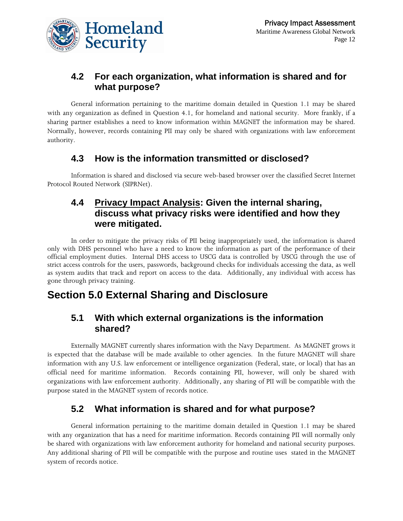

## **4.2 For each organization, what information is shared and for what purpose?**

General information pertaining to the maritime domain detailed in Question 1.1 may be shared with any organization as defined in Question 4.1, for homeland and national security. More frankly, if a sharing partner establishes a need to know information within MAGNET the information may be shared. Normally, however, records containing PII may only be shared with organizations with law enforcement authority.

#### **4.3 How is the information transmitted or disclosed?**

Information is shared and disclosed via secure web-based browser over the classified Secret Internet Protocol Routed Network (SIPRNet).

#### **4.4 Privacy Impact Analysis: Given the internal sharing, discuss what privacy risks were identified and how they were mitigated.**

In order to mitigate the privacy risks of PII being inappropriately used, the information is shared only with DHS personnel who have a need to know the information as part of the performance of their official employment duties. Internal DHS access to USCG data is controlled by USCG through the use of strict access controls for the users, passwords, background checks for individuals accessing the data, as well as system audits that track and report on access to the data. Additionally, any individual with access has gone through privacy training.

## **Section 5.0 External Sharing and Disclosure**

#### **5.1 With which external organizations is the information shared?**

 Externally MAGNET currently shares information with the Navy Department. As MAGNET grows it is expected that the database will be made available to other agencies. In the future MAGNET will share information with any U.S. law enforcement or intelligence organization (Federal, state, or local) that has an official need for maritime information. Records containing PII, however, will only be shared with organizations with law enforcement authority. Additionally, any sharing of PII will be compatible with the purpose stated in the MAGNET system of records notice.

## **5.2 What information is shared and for what purpose?**

General information pertaining to the maritime domain detailed in Question 1.1 may be shared with any organization that has a need for maritime information. Records containing PII will normally only be shared with organizations with law enforcement authority for homeland and national security purposes. Any additional sharing of PII will be compatible with the purpose and routine uses stated in the MAGNET system of records notice.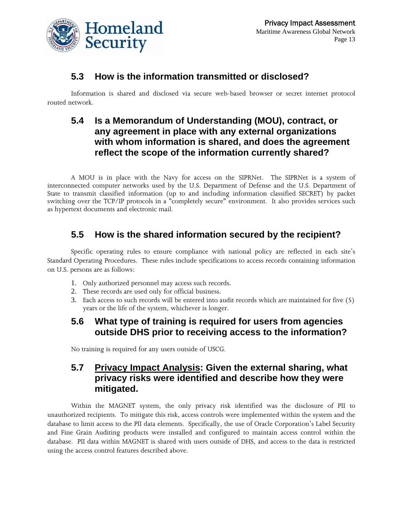

#### **5.3 How is the information transmitted or disclosed?**

Information is shared and disclosed via secure web-based browser or secret internet protocol routed network.

#### **5.4 Is a Memorandum of Understanding (MOU), contract, or any agreement in place with any external organizations with whom information is shared, and does the agreement reflect the scope of the information currently shared?**

A MOU is in place with the Navy for access on the SIPRNet. The SIPRNet is a system of interconnected computer networks used by the U.S. Department of Defense and the U.S. Department of State to transmit classified information (up to and including information classified SECRET) by packet switching over the TCP/IP protocols in a "completely secure" environment. It also provides services such as hypertext documents and electronic mail.

## **5.5 How is the shared information secured by the recipient?**

Specific operating rules to ensure compliance with national policy are reflected in each site's Standard Operating Procedures. These rules include specifications to access records containing information on U.S. persons are as follows:

- 1. Only authorized personnel may access such records.
- 2. These records are used only for official business.
- 3. Each access to such records will be entered into audit records which are maintained for five (5) years or the life of the system, whichever is longer.

#### **5.6 What type of training is required for users from agencies outside DHS prior to receiving access to the information?**

No training is required for any users outside of USCG.

#### **5.7 Privacy Impact Analysis: Given the external sharing, what privacy risks were identified and describe how they were mitigated.**

Within the MAGNET system, the only privacy risk identified was the disclosure of PII to unauthorized recipients. To mitigate this risk, access controls were implemented within the system and the database to limit access to the PII data elements. Specifically, the use of Oracle Corporation's Label Security and Fine Grain Auditing products were installed and configured to maintain access control within the database. PII data within MAGNET is shared with users outside of DHS, and access to the data is restricted using the access control features described above.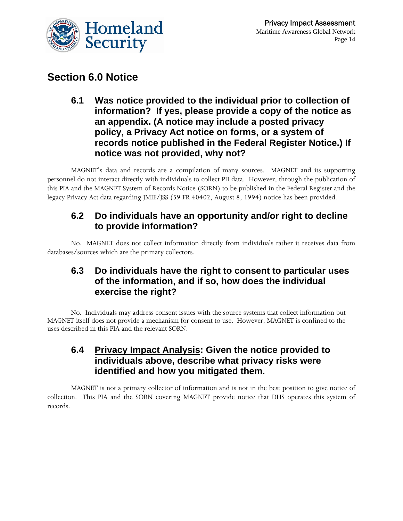

## **Section 6.0 Notice**

**6.1 Was notice provided to the individual prior to collection of information? If yes, please provide a copy of the notice as an appendix. (A notice may include a posted privacy policy, a Privacy Act notice on forms, or a system of records notice published in the Federal Register Notice.) If notice was not provided, why not?** 

MAGNET's data and records are a compilation of many sources. MAGNET and its supporting personnel do not interact directly with individuals to collect PII data. However, through the publication of this PIA and the MAGNET System of Records Notice (SORN) to be published in the Federal Register and the legacy Privacy Act data regarding JMIE/JSS (59 FR 40402, August 8, 1994) notice has been provided.

#### **6.2 Do individuals have an opportunity and/or right to decline to provide information?**

No. MAGNET does not collect information directly from individuals rather it receives data from databases/sources which are the primary collectors.

#### **6.3 Do individuals have the right to consent to particular uses of the information, and if so, how does the individual exercise the right?**

No. Individuals may address consent issues with the source systems that collect information but MAGNET itself does not provide a mechanism for consent to use. However, MAGNET is confined to the uses described in this PIA and the relevant SORN.

#### **6.4 Privacy Impact Analysis: Given the notice provided to individuals above, describe what privacy risks were identified and how you mitigated them.**

MAGNET is not a primary collector of information and is not in the best position to give notice of collection. This PIA and the SORN covering MAGNET provide notice that DHS operates this system of records.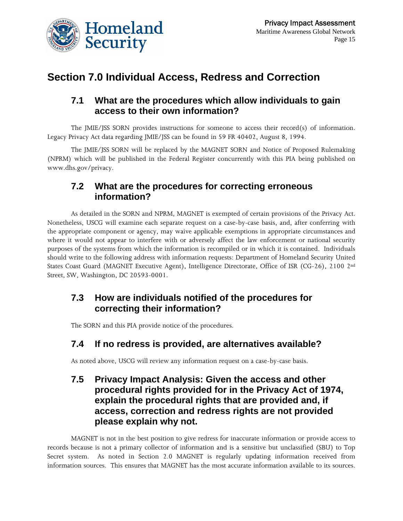

# **Section 7.0 Individual Access, Redress and Correction**

#### **7.1 What are the procedures which allow individuals to gain access to their own information?**

The JMIE/JSS SORN provides instructions for someone to access their record(s) of information. Legacy Privacy Act data regarding JMIE/JSS can be found in 59 FR 40402, August 8, 1994.

The JMIE/JSS SORN will be replaced by the MAGNET SORN and Notice of Proposed Rulemaking (NPRM) which will be published in the Federal Register concurrently with this PIA being published on www.dhs.gov/privacy.

#### **7.2 What are the procedures for correcting erroneous information?**

As detailed in the SORN and NPRM, MAGNET is exempted of certain provisions of the Privacy Act. Nonetheless, USCG will examine each separate request on a case-by-case basis, and, after conferring with the appropriate component or agency, may waive applicable exemptions in appropriate circumstances and where it would not appear to interfere with or adversely affect the law enforcement or national security purposes of the systems from which the information is recompiled or in which it is contained. Individuals should write to the following address with information requests: Department of Homeland Security United States Coast Guard (MAGNET Executive Agent), Intelligence Directorate, Office of ISR (CG-26), 2100 2nd Street, SW, Washington, DC 20593-0001.

#### **7.3 How are individuals notified of the procedures for correcting their information?**

The SORN and this PIA provide notice of the procedures.

#### **7.4 If no redress is provided, are alternatives available?**

As noted above, USCG will review any information request on a case-by-case basis.

#### **7.5 Privacy Impact Analysis: Given the access and other procedural rights provided for in the Privacy Act of 1974, explain the procedural rights that are provided and, if access, correction and redress rights are not provided please explain why not.**

MAGNET is not in the best position to give redress for inaccurate information or provide access to records because is not a primary collector of information and is a sensitive but unclassified (SBU) to Top Secret system. As noted in Section 2.0 MAGNET is regularly updating information received from information sources. This ensures that MAGNET has the most accurate information available to its sources.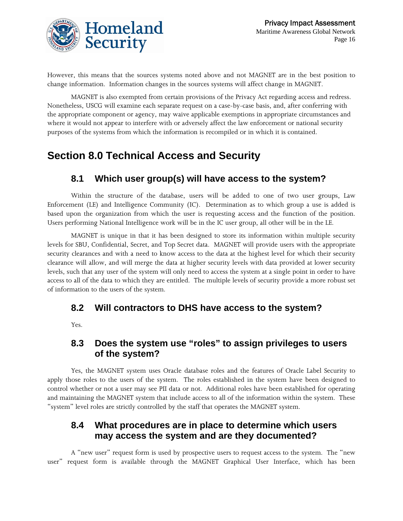

However, this means that the sources systems noted above and not MAGNET are in the best position to change information. Information changes in the sources systems will affect change in MAGNET.

MAGNET is also exempted from certain provisions of the Privacy Act regarding access and redress. Nonetheless, USCG will examine each separate request on a case-by-case basis, and, after conferring with the appropriate component or agency, may waive applicable exemptions in appropriate circumstances and where it would not appear to interfere with or adversely affect the law enforcement or national security purposes of the systems from which the information is recompiled or in which it is contained.

# **Section 8.0 Technical Access and Security**

## **8.1 Which user group(s) will have access to the system?**

Within the structure of the database, users will be added to one of two user groups, Law Enforcement (LE) and Intelligence Community (IC). Determination as to which group a use is added is based upon the organization from which the user is requesting access and the function of the position. Users performing National Intelligence work will be in the IC user group, all other will be in the LE.

MAGNET is unique in that it has been designed to store its information within multiple security levels for SBU, Confidential, Secret, and Top Secret data. MAGNET will provide users with the appropriate security clearances and with a need to know access to the data at the highest level for which their security clearance will allow, and will merge the data at higher security levels with data provided at lower security levels, such that any user of the system will only need to access the system at a single point in order to have access to all of the data to which they are entitled. The multiple levels of security provide a more robust set of information to the users of the system.

#### **8.2 Will contractors to DHS have access to the system?**

Yes.

#### **8.3 Does the system use "roles" to assign privileges to users of the system?**

Yes, the MAGNET system uses Oracle database roles and the features of Oracle Label Security to apply those roles to the users of the system. The roles established in the system have been designed to control whether or not a user may see PII data or not. Additional roles have been established for operating and maintaining the MAGNET system that include access to all of the information within the system. These "system" level roles are strictly controlled by the staff that operates the MAGNET system.

#### **8.4 What procedures are in place to determine which users may access the system and are they documented?**

A "new user" request form is used by prospective users to request access to the system. The "new user" request form is available through the MAGNET Graphical User Interface, which has been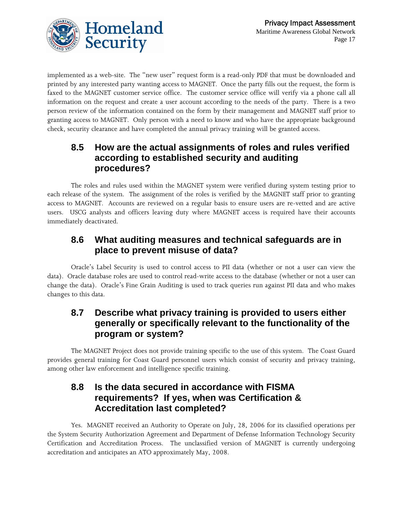



implemented as a web-site. The "new user" request form is a read-only PDF that must be downloaded and printed by any interested party wanting access to MAGNET. Once the party fills out the request, the form is faxed to the MAGNET customer service office. The customer service office will verify via a phone call all information on the request and create a user account according to the needs of the party. There is a two person review of the information contained on the form by their management and MAGNET staff prior to granting access to MAGNET. Only person with a need to know and who have the appropriate background check, security clearance and have completed the annual privacy training will be granted access.

#### **8.5 How are the actual assignments of roles and rules verified according to established security and auditing procedures?**

The roles and rules used within the MAGNET system were verified during system testing prior to each release of the system. The assignment of the roles is verified by the MAGNET staff prior to granting access to MAGNET. Accounts are reviewed on a regular basis to ensure users are re-vetted and are active users. USCG analysts and officers leaving duty where MAGNET access is required have their accounts immediately deactivated.

#### **8.6 What auditing measures and technical safeguards are in place to prevent misuse of data?**

Oracle's Label Security is used to control access to PII data (whether or not a user can view the data). Oracle database roles are used to control read-write access to the database (whether or not a user can change the data). Oracle's Fine Grain Auditing is used to track queries run against PII data and who makes changes to this data.

#### **8.7 Describe what privacy training is provided to users either generally or specifically relevant to the functionality of the program or system?**

The MAGNET Project does not provide training specific to the use of this system. The Coast Guard provides general training for Coast Guard personnel users which consist of security and privacy training, among other law enforcement and intelligence specific training.

#### **8.8 Is the data secured in accordance with FISMA requirements? If yes, when was Certification & Accreditation last completed?**

Yes. MAGNET received an Authority to Operate on July, 28, 2006 for its classified operations per the System Security Authorization Agreement and Department of Defense Information Technology Security Certification and Accreditation Process. The unclassified version of MAGNET is currently undergoing accreditation and anticipates an ATO approximately May, 2008.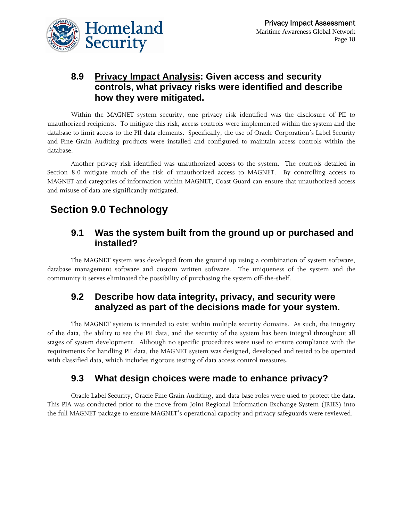

#### **8.9 Privacy Impact Analysis: Given access and security controls, what privacy risks were identified and describe how they were mitigated.**

Within the MAGNET system security, one privacy risk identified was the disclosure of PII to unauthorized recipients. To mitigate this risk, access controls were implemented within the system and the database to limit access to the PII data elements. Specifically, the use of Oracle Corporation's Label Security and Fine Grain Auditing products were installed and configured to maintain access controls within the database.

Another privacy risk identified was unauthorized access to the system. The controls detailed in Section 8.0 mitigate much of the risk of unauthorized access to MAGNET. By controlling access to MAGNET and categories of information within MAGNET, Coast Guard can ensure that unauthorized access and misuse of data are significantly mitigated.

# **Section 9.0 Technology**

#### **9.1 Was the system built from the ground up or purchased and installed?**

The MAGNET system was developed from the ground up using a combination of system software, database management software and custom written software. The uniqueness of the system and the community it serves eliminated the possibility of purchasing the system off-the-shelf.

#### **9.2 Describe how data integrity, privacy, and security were analyzed as part of the decisions made for your system.**

The MAGNET system is intended to exist within multiple security domains. As such, the integrity of the data, the ability to see the PII data, and the security of the system has been integral throughout all stages of system development. Although no specific procedures were used to ensure compliance with the requirements for handling PII data, the MAGNET system was designed, developed and tested to be operated with classified data, which includes rigorous testing of data access control measures.

## **9.3 What design choices were made to enhance privacy?**

Oracle Label Security, Oracle Fine Grain Auditing, and data base roles were used to protect the data. This PIA was conducted prior to the move from Joint Regional Information Exchange System (JRIES) into the full MAGNET package to ensure MAGNET's operational capacity and privacy safeguards were reviewed.